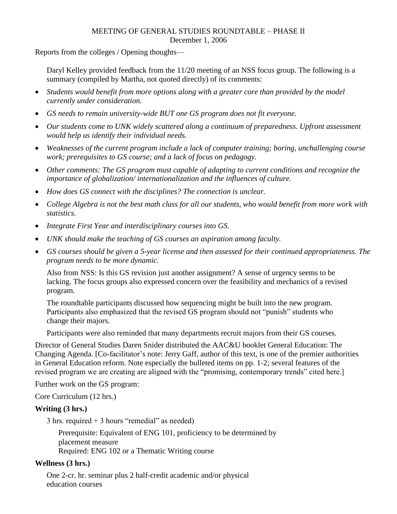### MEETING OF GENERAL STUDIES ROUNDTABLE – PHASE II December 1, 2006

Reports from the colleges / Opening thoughts—

Daryl Kelley provided feedback from the 11/20 meeting of an NSS focus group. The following is a summary (compiled by Martha, not quoted directly) of its comments:

- *Students would benefit from more options along with a greater core than provided by the model currently under consideration.*
- *GS needs to remain university-wide BUT one GS program does not fit everyone.*
- *Our students come to UNK widely scattered along a continuum of preparedness. Upfront assessment would help us identify their individual needs.*
- *Weaknesses of the current program include a lack of computer training; boring, unchallenging course work; prerequisites to GS course; and a lack of focus on pedagogy.*
- *Other comments: The GS program must capable of adapting to current conditions and recognize the importance of globalization/ internationalization and the influences of culture.*
- *How does GS connect with the disciplines? The connection is unclear.*
- *College Algebra is not the best math class for all our students, who would benefit from more work with statistics.*
- *Integrate First Year and interdisciplinary courses into GS.*
- *UNK should make the teaching of GS courses an aspiration among faculty.*
- *GS courses should be given a 5-year license and then assessed for their continued appropriateness. The program needs to be more dynamic.*

Also from NSS: Is this GS revision just another assignment? A sense of urgency seems to be lacking. The focus groups also expressed concern over the feasibility and mechanics of a revised program.

The roundtable participants discussed how sequencing might be built into the new program. Participants also emphasized that the revised GS program should not "punish" students who change their majors.

Participants were also reminded that many departments recruit majors from their GS courses.

Director of General Studies Daren Snider distributed the AAC&U booklet General Education: The Changing Agenda. [Co-facilitator's note: Jerry Gaff, author of this text, is one of the premier authorities in General Education reform. Note especially the bulleted items on pp. 1-2; several features of the revised program we are creating are aligned with the "promising, contemporary trends" cited here.]

Further work on the GS program:

Core Curriculum (12 hrs.)

#### **Writing (3 hrs.)**

3 hrs. required  $+$  3 hours "remedial" as needed)

Prerequisite: Equivalent of ENG 101, proficiency to be determined by placement measure Required: ENG 102 or a Thematic Writing course

#### **Wellness (3 hrs.)**

One 2-cr. hr. seminar plus 2 half-credit academic and/or physical education courses